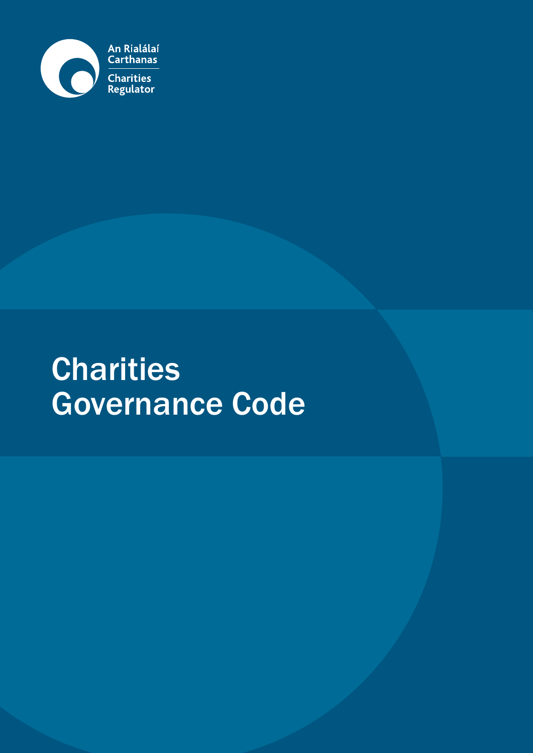

# **Charities** Governance Code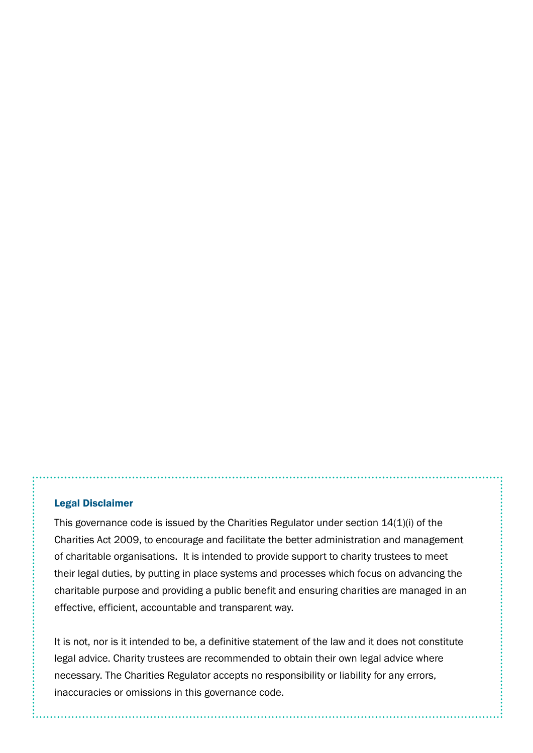#### Legal Disclaimer

This governance code is issued by the Charities Regulator under section 14(1)(i) of the Charities Act 2009, to encourage and facilitate the better administration and management of charitable organisations. It is intended to provide support to charity trustees to meet their legal duties, by putting in place systems and processes which focus on advancing the charitable purpose and providing a public benefit and ensuring charities are managed in an effective, efficient, accountable and transparent way.

It is not, nor is it intended to be, a definitive statement of the law and it does not constitute legal advice. Charity trustees are recommended to obtain their own legal advice where necessary. The Charities Regulator accepts no responsibility or liability for any errors, inaccuracies or omissions in this governance code.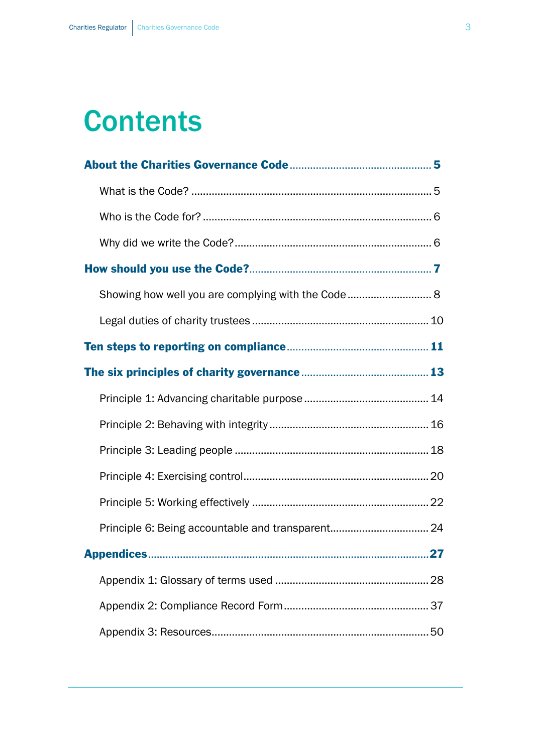# **Contents**

| Principle 6: Being accountable and transparent 24 |  |
|---------------------------------------------------|--|
|                                                   |  |
|                                                   |  |
|                                                   |  |
|                                                   |  |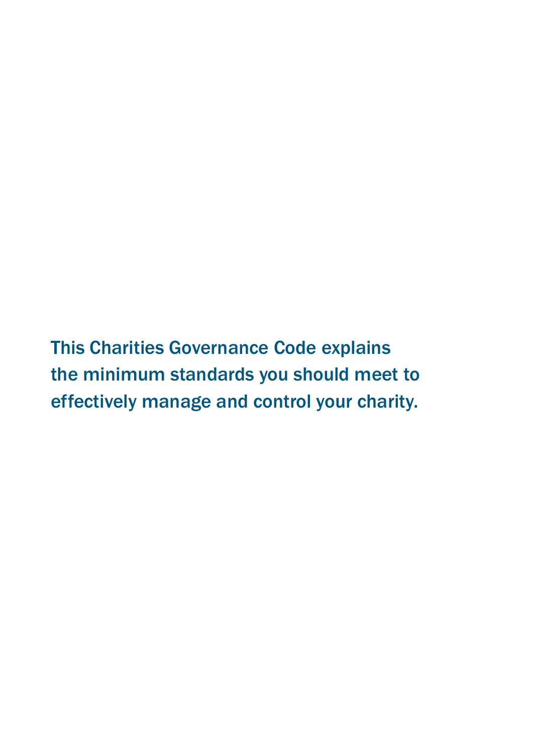This Charities Governance Code explains the minimum standards you should meet to effectively manage and control your charity.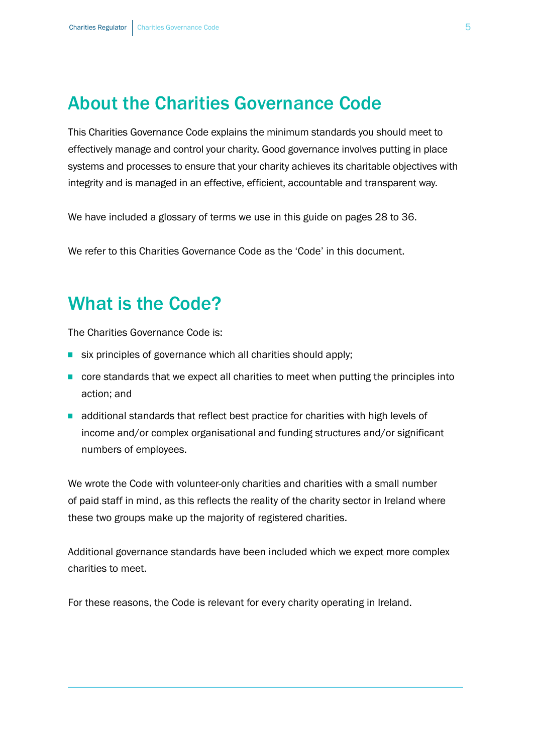# <span id="page-4-0"></span>About the Charities Governance Code

This Charities Governance Code explains the minimum standards you should meet to effectively manage and control your charity. Good governance involves putting in place systems and processes to ensure that your charity achieves its charitable objectives with integrity and is managed in an effective, efficient, accountable and transparent way.

We have included a glossary of terms we use in this guide on pages [28 to 36.](#page-27-0)

We refer to this Charities Governance Code as the 'Code' in this document.

# What is the Code?

The Charities Governance Code is:

- six principles of governance which all charities should apply;
- core standards that we expect all charities to meet when putting the principles into action; and
- additional standards that reflect best practice for charities with high levels of income and/or complex organisational and funding structures and/or significant numbers of employees.

these two groups make up the majority of registered charities. We wrote the Code with volunteer-only charities and charities with a small number of paid staff in mind, as this reflects the reality of the charity sector in Ireland where

Additional governance standards have been included which we expect more complex charities to meet.

For these reasons, the Code is relevant for every charity operating in Ireland.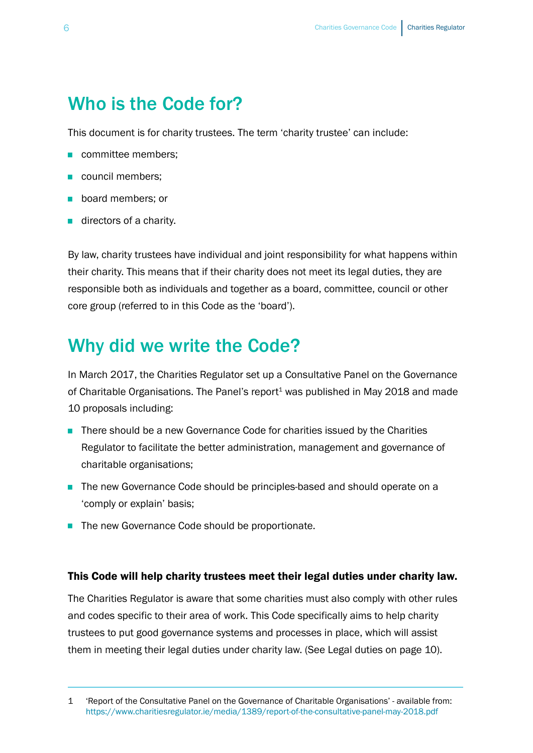# <span id="page-5-0"></span>Who is the Code for?

This document is for charity trustees. The term 'charity trustee' can include:

- committee members:
- council members;
- board members; or
- directors of a charity.

By law, charity trustees have individual and joint responsibility for what happens within their charity. This means that if their charity does not meet its legal duties, they are responsible both as individuals and together as a board, committee, council or other core group (referred to in this Code as the 'board').

# Why did we write the Code?

In March 2017, the Charities Regulator set up a Consultative Panel on the Governance of Charitable Organisations. The Panel's report<sup>1</sup> was published in May 2018 and made 10 proposals including:

- There should be a new Governance Code for charities issued by the Charities Regulator to facilitate the better administration, management and governance of charitable organisations;
- The new Governance Code should be principles-based and should operate on a 'comply or explain' basis;
- The new Governance Code should be proportionate.

#### This Code will help charity trustees meet their legal duties under charity law.

The Charities Regulator is aware that some charities must also comply with other rules and codes specific to their area of work. This Code specifically aims to help charity trustees to put good governance systems and processes in place, which will assist them in meeting their legal duties under charity law. ([See Legal duties on page](#page-9-0) 10).

<sup>&#</sup>x27;Report of the Consultative Panel on the Governance of Charitable Organisations' - available from: <https://www.charitiesregulator.ie/media/1389/report-of-the-consultative-panel-may-2018.pdf> 1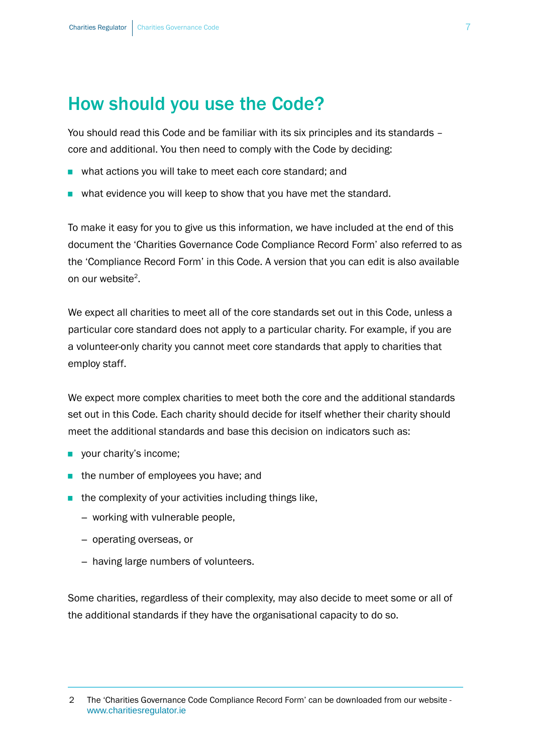# <span id="page-6-0"></span>How should you use the Code?

You should read this Code and be familiar with its six principles and its standards – core and additional. You then need to comply with the Code by deciding:

- what actions you will take to meet each core standard; and
- what evidence you will keep to show that you have met the standard.

To make it easy for you to give us this information, we have included at the end of this document the 'Charities Governance Code Compliance Record Form' also referred to as the 'Compliance Record Form' in this Code. A version that you can edit is also available on our website<sup>2</sup>.

We expect all charities to meet all of the core standards set out in this Code, unless a particular core standard does not apply to a particular charity. For example, if you are a volunteer-only charity you cannot meet core standards that apply to charities that employ staff.

We expect more complex charities to meet both the core and the additional standards set out in this Code. Each charity should decide for itself whether their charity should meet the additional standards and base this decision on indicators such as:

- your charity's income;
- the number of employees you have; and
- $\blacksquare$  the complexity of your activities including things like,
	- working with vulnerable people,
	- operating overseas, or
	- having large numbers of volunteers.

Some charities, regardless of their complexity, may also decide to meet some or all of the additional standards if they have the organisational capacity to do so.

The 'Charities Governance Code Compliance Record Form' can be downloaded from our website [www.charitiesregulator.ie](http://www.charitiesregulator.ie/) 2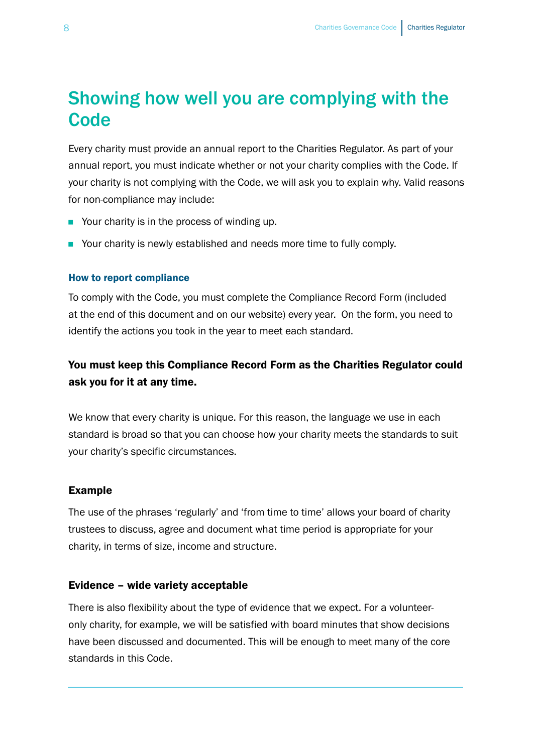# <span id="page-7-0"></span>Showing how well you are complying with the **Code**

Every charity must provide an annual report to the Charities Regulator. As part of your annual report, you must indicate whether or not your charity complies with the Code. If your charity is not complying with the Code, we will ask you to explain why. Valid reasons for non-compliance may include:

- Your charity is in the process of winding up.
- Your charity is newly established and needs more time to fully comply.

#### How to report compliance

To comply with the Code, you must complete the Compliance Record Form (included at the end of this document and on our website) every year. On the form, you need to identify the actions you took in the year to meet each standard.

### You must keep this Compliance Record Form as the Charities Regulator could ask you for it at any time.

We know that every charity is unique. For this reason, the language we use in each standard is broad so that you can choose how your charity meets the standards to suit your charity's specific circumstances.

#### Example

The use of the phrases 'regularly' and 'from time to time' allows your board of charity trustees to discuss, agree and document what time period is appropriate for your charity, in terms of size, income and structure.

#### Evidence – wide variety acceptable

There is also flexibility about the type of evidence that we expect. For a volunteeronly charity, for example, we will be satisfied with board minutes that show decisions have been discussed and documented. This will be enough to meet many of the core standards in this Code.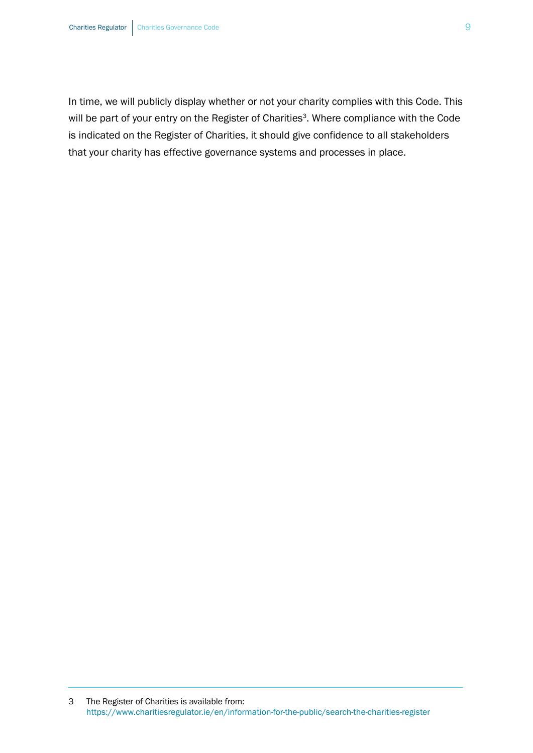In time, we will publicly display whether or not your charity complies with this Code. This will be part of your entry on the Register of Charities<sup>3</sup>. Where compliance with the Code is indicated on the Register of Charities, it should give confidence to all stakeholders that your charity has effective governance systems and processes in place.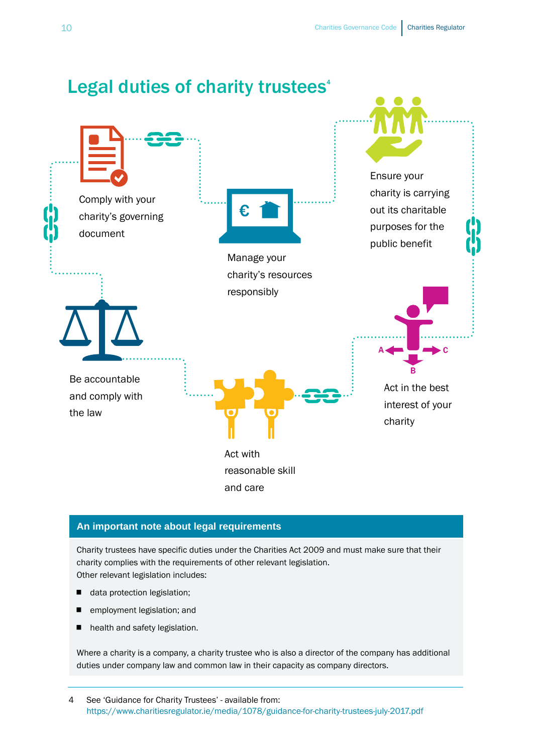<span id="page-9-0"></span>

#### **An important note about legal requirements**

Charity trustees have specific duties under the Charities Act 2009 and must make sure that their charity complies with the requirements of other relevant legislation. Other relevant legislation includes:

- data protection legislation;
- employment legislation; and
- health and safety legislation.

Where a charity is a company, a charity trustee who is also a director of the company has additional duties under company law and common law in their capacity as company directors.

4 See 'Guidance for Charity Trustees' - available from: <https://www.charitiesregulator.ie/media/1078/guidance-for-charity-trustees-july-2017.pdf>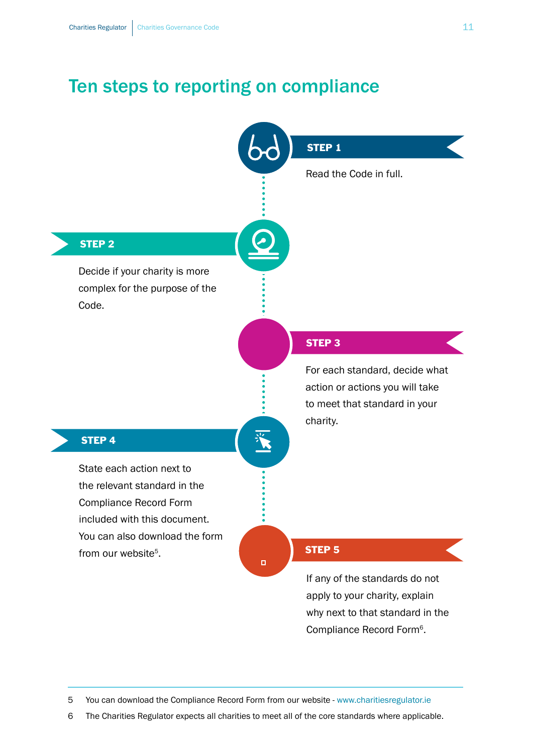# Ten steps to reporting on compliance

<span id="page-10-0"></span>

5 You can download the Compliance Record Form from our website - [www.charitiesregulator.ie](http://www.charitiesregulator.ie) 

6 The Charities Regulator expects all charities to meet all of the core standards where applicable.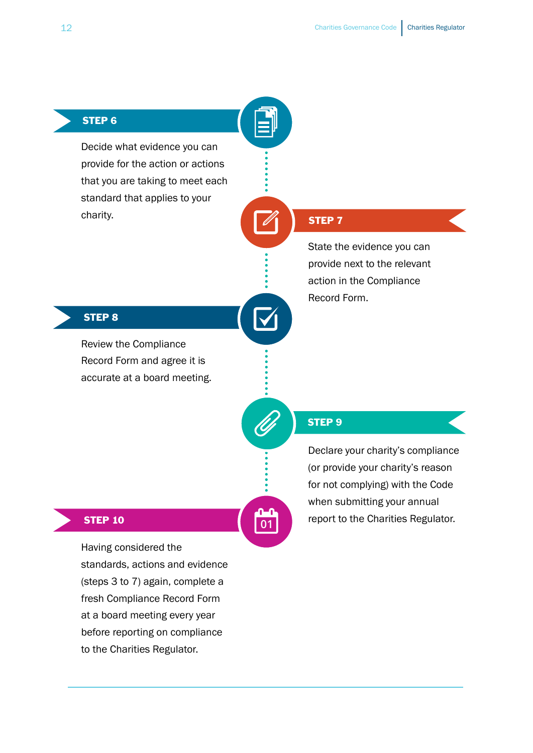### STEP 6

Decide what evidence you can provide for the action or actions that you are taking to meet each standard that applies to your charity.

### STEP 7

State the evidence you can provide next to the relevant action in the Compliance Record Form.

#### STEP 8

Review the Compliance Record Form and agree it is accurate at a board meeting.

#### STEP 9

**01**

Declare your charity's compliance (or provide your charity's reason for not complying) with the Code when submitting your annual report to the Charities Regulator.

#### STEP 10

Having considered the standards, actions and evidence (steps 3 to 7) again, complete a fresh Compliance Record Form at a board meeting every year before reporting on compliance to the Charities Regulator.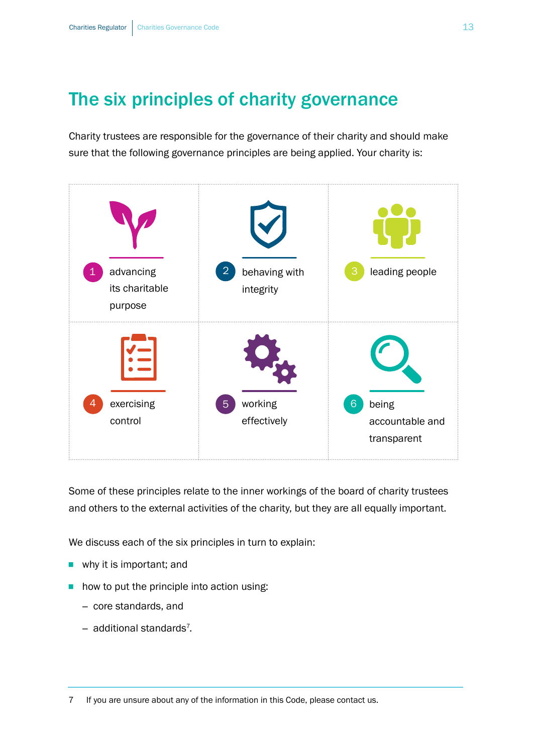# <span id="page-12-0"></span>The six principles of charity governance

Charity trustees are responsible for the governance of their charity and should make sure that the following governance principles are being applied. Your charity is:



Some of these principles relate to the inner workings of the board of charity trustees and others to the external activities of the charity, but they are all equally important.

We discuss each of the six principles in turn to explain:

- why it is important; and
- how to put the principle into action using:
	- core standards, and
	- additional standards<sup>7</sup>.

7 If you are unsure about any of the information in this Code, please contact us.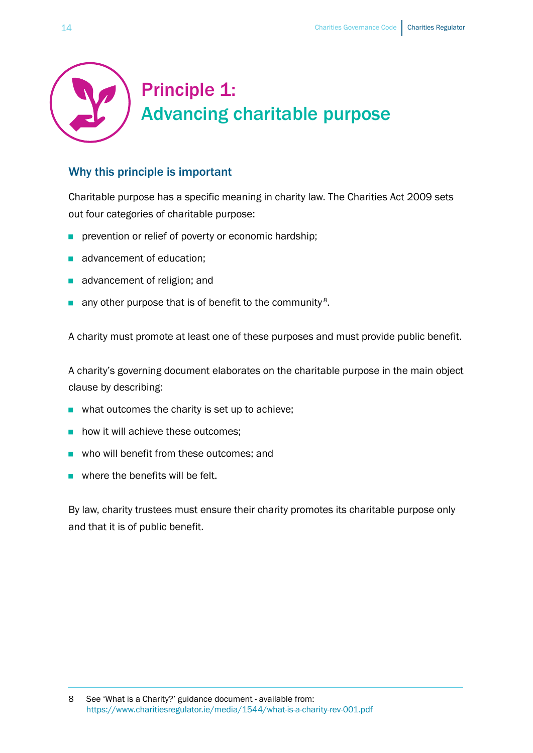<span id="page-13-0"></span>

### Why this principle is important

Charitable purpose has a specific meaning in charity law. The Charities Act 2009 sets out four categories of charitable purpose:

- **n** prevention or relief of poverty or economic hardship;
- advancement of education:
- advancement of religion; and
- any other purpose that is of benefit to the community<sup>8</sup>.

A charity must promote at least one of these purposes and must provide public benefit.

A charity's governing document elaborates on the charitable purpose in the main object clause by describing:

- what outcomes the charity is set up to achieve;
- how it will achieve these outcomes;
- who will benefit from these outcomes; and
- $\blacksquare$  where the benefits will be felt.

By law, charity trustees must ensure their charity promotes its charitable purpose only and that it is of public benefit.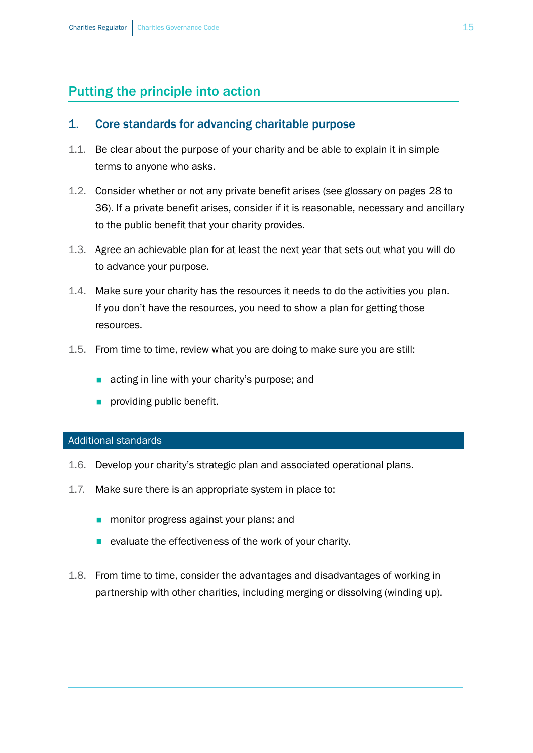# Putting the principle into action

#### 1. Core standards for advancing charitable purpose

- 1.1. Be clear about the purpose of your charity and be able to explain it in simple terms to anyone who asks.
- 1.2. Consider whether or not any private benefit arises (see glossary on pages 28 to [36\)](#page-27-0). If a private benefit arises, consider if it is reasonable, necessary and ancillary to the public benefit that your charity provides.
- 1.3. Agree an achievable plan for at least the next year that sets out what you will do to advance your purpose.
- 1.4. Make sure your charity has the resources it needs to do the activities you plan. If you don't have the resources, you need to show a plan for getting those resources.
- 1.5. From time to time, review what you are doing to make sure you are still:
	- acting in line with your charity's purpose; and
	- **n** providing public benefit.

#### Additional standards

- 1.6. Develop your charity's strategic plan and associated operational plans.
- 1.7. Make sure there is an appropriate system in place to:
	- monitor progress against your plans; and
	- evaluate the effectiveness of the work of your charity.
- 1.8. From time to time, consider the advantages and disadvantages of working in partnership with other charities, including merging or dissolving (winding up).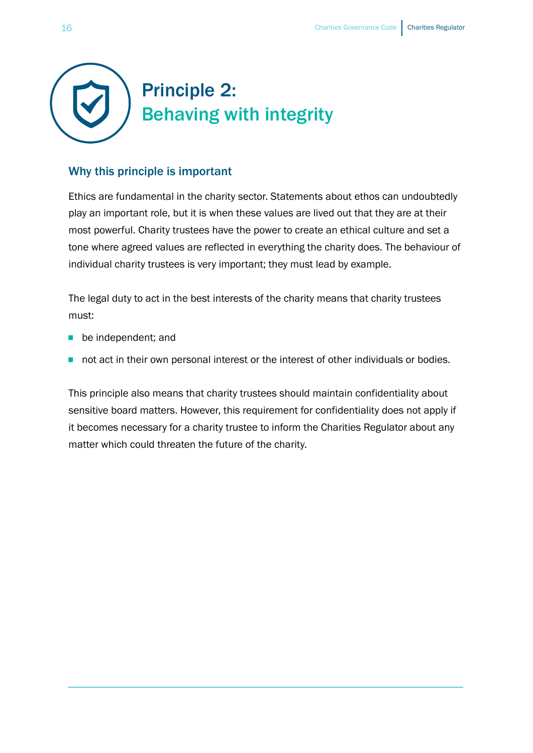<span id="page-15-0"></span>

### Why this principle is important

Ethics are fundamental in the charity sector. Statements about ethos can undoubtedly play an important role, but it is when these values are lived out that they are at their most powerful. Charity trustees have the power to create an ethical culture and set a tone where agreed values are reflected in everything the charity does. The behaviour of individual charity trustees is very important; they must lead by example.

The legal duty to act in the best interests of the charity means that charity trustees must:

- be independent; and
- not act in their own personal interest or the interest of other individuals or bodies.

This principle also means that charity trustees should maintain confidentiality about sensitive board matters. However, this requirement for confidentiality does not apply if it becomes necessary for a charity trustee to inform the Charities Regulator about any matter which could threaten the future of the charity.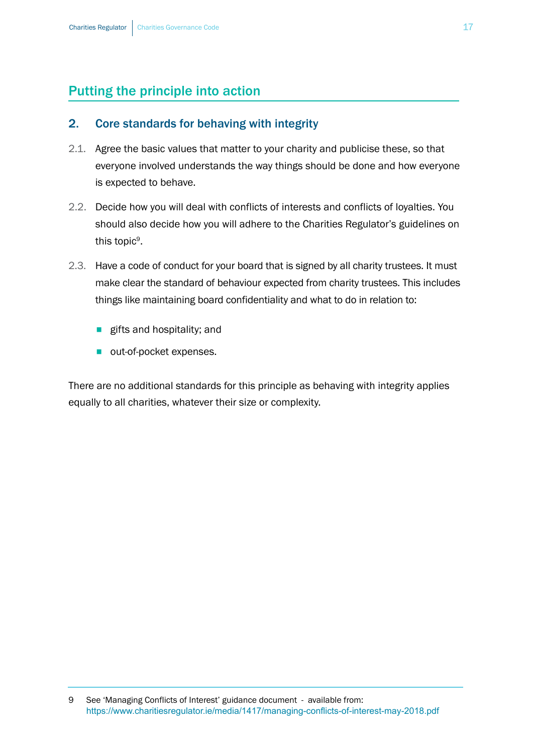### Putting the principle into action

#### 2. Core standards for behaving with integrity

- 2.1. Agree the basic values that matter to your charity and publicise these, so that everyone involved understands the way things should be done and how everyone is expected to behave.
- 2.2. Decide how you will deal with conflicts of interests and conflicts of loyalties. You should also decide how you will adhere to the Charities Regulator's guidelines on this topic<sup>9</sup>.
- 2.3. Have a code of conduct for your board that is signed by all charity trustees. It must make clear the standard of behaviour expected from charity trustees. This includes things like maintaining board confidentiality and what to do in relation to:
	- **E** gifts and hospitality; and
	- out-of-pocket expenses.

There are no additional standards for this principle as behaving with integrity applies equally to all charities, whatever their size or complexity.

<sup>9</sup> See 'Managing Conflicts of Interest' guidance document - available from: <https://www.charitiesregulator.ie/media/1417/managing-conflicts-of-interest-may-2018.pdf>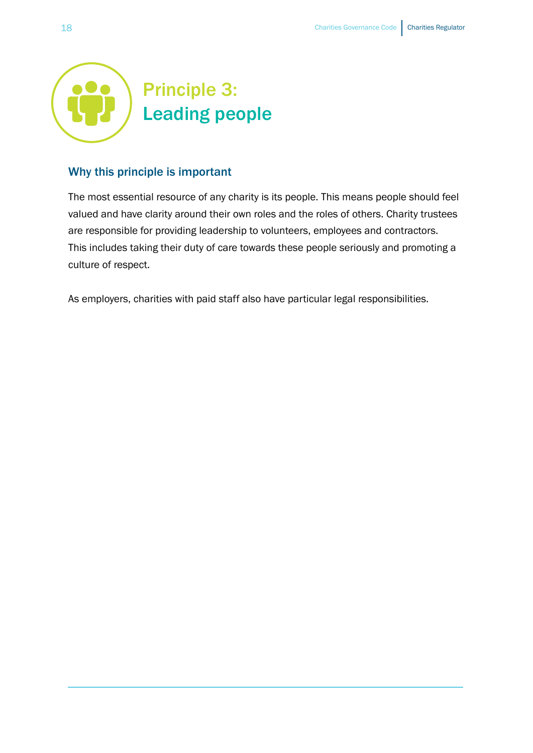<span id="page-17-0"></span>

### Why this principle is important

The most essential resource of any charity is its people. This means people should feel valued and have clarity around their own roles and the roles of others. Charity trustees are responsible for providing leadership to volunteers, employees and contractors. This includes taking their duty of care towards these people seriously and promoting a culture of respect.

As employers, charities with paid staff also have particular legal responsibilities.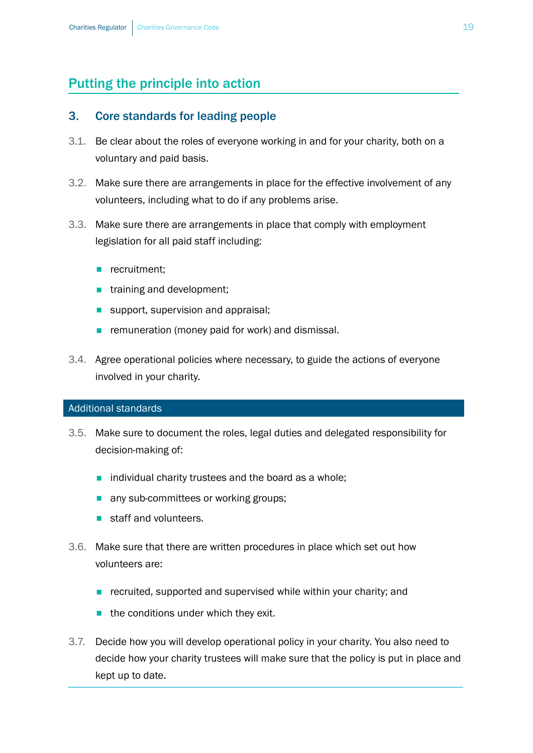# Putting the principle into action

#### 3. Core standards for leading people

- 3.1. Be clear about the roles of everyone working in and for your charity, both on a voluntary and paid basis.
- 3.2. Make sure there are arrangements in place for the effective involvement of any volunteers, including what to do if any problems arise.
- 3.3. Make sure there are arrangements in place that comply with employment legislation for all paid staff including:
	- recruitment:
	- **n** training and development;
	- support, supervision and appraisal;
	- remuneration (money paid for work) and dismissal.
- 3.4. Agree operational policies where necessary, to guide the actions of everyone involved in your charity.

#### Additional standards

- 3.5. Make sure to document the roles, legal duties and delegated responsibility for decision-making of:
	- individual charity trustees and the board as a whole;
	- any sub-committees or working groups;
	- staff and volunteers.
- 3.6. Make sure that there are written procedures in place which set out how volunteers are:
	- recruited, supported and supervised while within your charity; and
	- $\blacksquare$  the conditions under which they exit.
- 3.7. Decide how you will develop operational policy in your charity. You also need to decide how your charity trustees will make sure that the policy is put in place and kept up to date.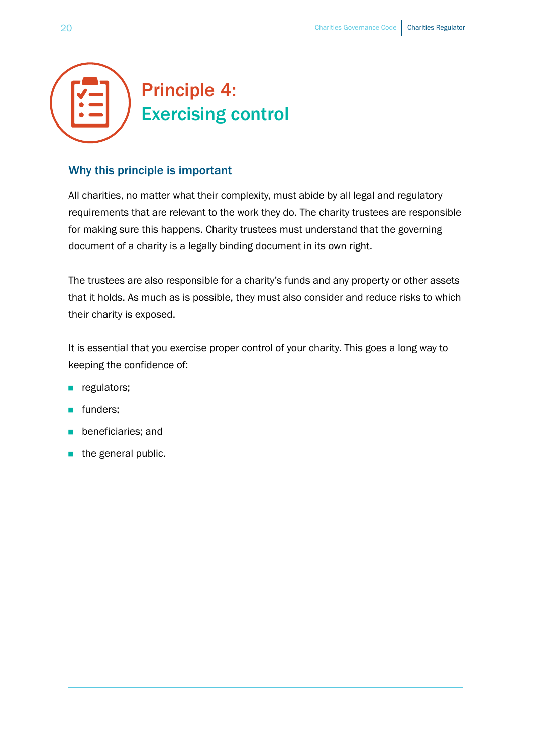<span id="page-19-0"></span>

### Why this principle is important

All charities, no matter what their complexity, must abide by all legal and regulatory requirements that are relevant to the work they do. The charity trustees are responsible for making sure this happens. Charity trustees must understand that the governing document of a charity is a legally binding document in its own right.

The trustees are also responsible for a charity's funds and any property or other assets that it holds. As much as is possible, they must also consider and reduce risks to which their charity is exposed.

It is essential that you exercise proper control of your charity. This goes a long way to keeping the confidence of:

- **n** regulators;
- funders:
- beneficiaries; and
- the general public.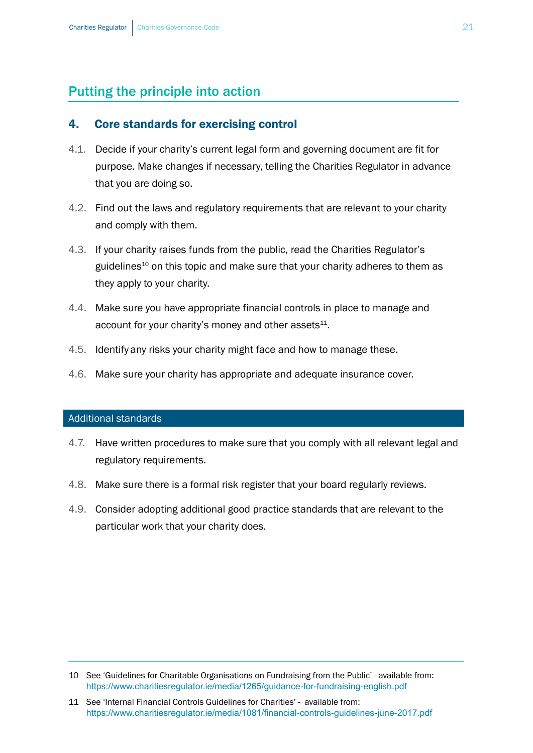## Putting the principle into action

#### 4. Core standards for exercising control

- 4.1. Decide if your charity's current legal form and governing document are fit for purpose. Make changes if necessary, telling the Charities Regulator in advance that you are doing so.
- 4.2. Find out the laws and regulatory requirements that are relevant to your charity and comply with them.
- 4.3. If your charity raises funds from the public, read the Charities Regulator's guidelines<sup>10</sup> on this topic and make sure that your charity adheres to them as they apply to your charity.
- 4.4. Make sure you have appropriate financial controls in place to manage and account for your charity's money and other assets $^{11}$ .
- 4.5. Identify any risks your charity might face and how to manage these.
- 4.6. Make sure your charity has appropriate and adequate insurance cover.

#### Additional standards

- 4.7. Have written procedures to make sure that you comply with all relevant legal and regulatory requirements.
- 4.8. Make sure there is a formal risk register that your board regularly reviews.
- 4.9. Consider adopting additional good practice standards that are relevant to the particular work that your charity does.

11 See 'Internal Financial Controls Guidelines for Charities' - available from: <https://www.charitiesregulator.ie/media/1081/financial-controls-guidelines-june-2017.pdf>

<sup>10</sup> See 'Guidelines for Charitable Organisations on Fundraising from the Public' - available from: https://www.charitiesregulator.ie/media/1265/guidance-for-fundraising-english.pdf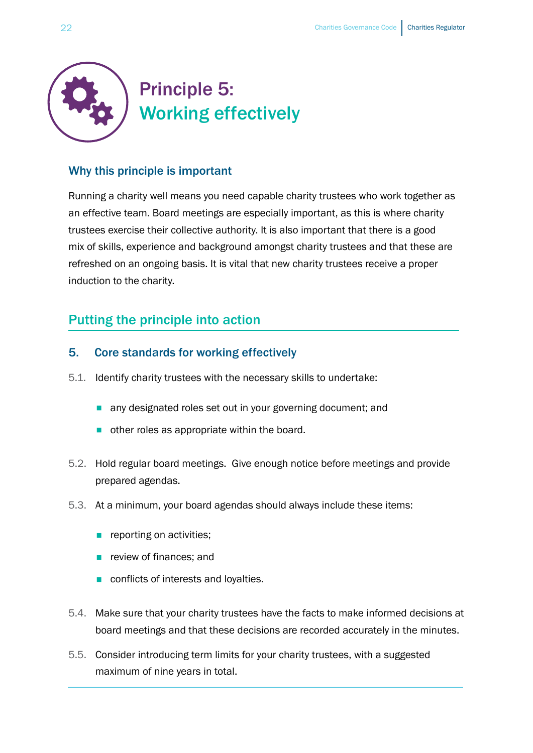<span id="page-21-0"></span>

### Why this principle is important

Running a charity well means you need capable charity trustees who work together as an effective team. Board meetings are especially important, as this is where charity trustees exercise their collective authority. It is also important that there is a good mix of skills, experience and background amongst charity trustees and that these are refreshed on an ongoing basis. It is vital that new charity trustees receive a proper induction to the charity.

## Putting the principle into action

### 5. Core standards for working effectively

- 5.1. Identify charity trustees with the necessary skills to undertake:
	- **n** any designated roles set out in your governing document; and
	- other roles as appropriate within the board.
- 5.2. Hold regular board meetings. Give enough notice before meetings and provide prepared agendas.
- 5.3. At a minimum, your board agendas should always include these items:
	- **n** reporting on activities;
	- **n** review of finances: and
	- conflicts of interests and loyalties.
- 5.4. Make sure that your charity trustees have the facts to make informed decisions at board meetings and that these decisions are recorded accurately in the minutes.
- 5.5. Consider introducing term limits for your charity trustees, with a suggested maximum of nine years in total.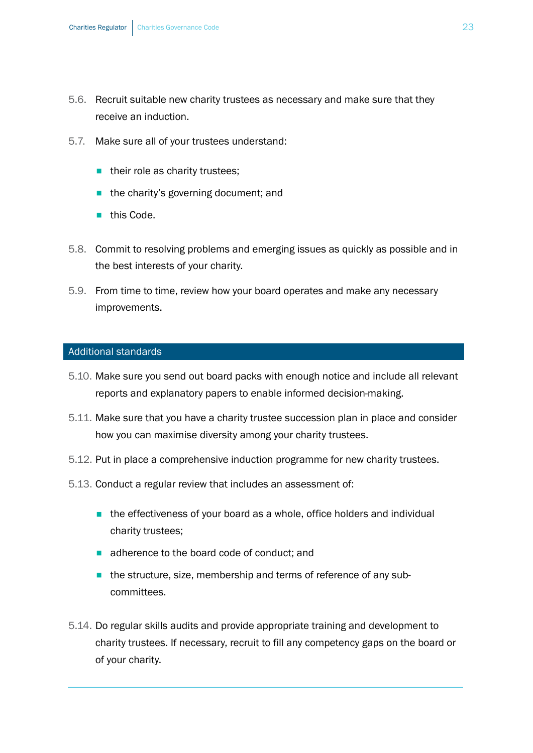- 5.6. Recruit suitable new charity trustees as necessary and make sure that they receive an induction.
- 5.7. Make sure all of your trustees understand:
	- their role as charity trustees;
	- the charity's governing document; and
	- this Code.
- 5.8. Commit to resolving problems and emerging issues as quickly as possible and in the best interests of your charity.
- 5.9. From time to time, review how your board operates and make any necessary improvements.

#### Additional standards

- 5.10. Make sure you send out board packs with enough notice and include all relevant reports and explanatory papers to enable informed decision-making.
- 5.11. Make sure that you have a charity trustee succession plan in place and consider how you can maximise diversity among your charity trustees.
- 5.12. Put in place a comprehensive induction programme for new charity trustees.
- 5.13. Conduct a regular review that includes an assessment of:
	- the effectiveness of your board as a whole, office holders and individual charity trustees;
	- adherence to the board code of conduct; and
	- the structure, size, membership and terms of reference of any subcommittees.
- 5.14. Do regular skills audits and provide appropriate training and development to charity trustees. If necessary, recruit to fill any competency gaps on the board or of your charity.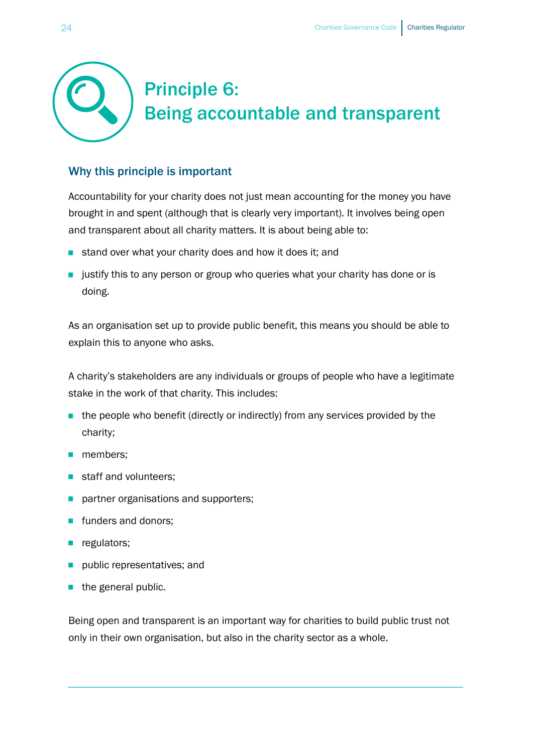# <span id="page-23-0"></span>Principle 6: Being accountable and transparent

### Why this principle is important

Accountability for your charity does not just mean accounting for the money you have brought in and spent (although that is clearly very important). It involves being open and transparent about all charity matters. It is about being able to:

- stand over what your charity does and how it does it; and
- **EX** justify this to any person or group who queries what your charity has done or is doing.

As an organisation set up to provide public benefit, this means you should be able to explain this to anyone who asks.

A charity's stakeholders are any individuals or groups of people who have a legitimate stake in the work of that charity. This includes:

- $\blacksquare$  the people who benefit (directly or indirectly) from any services provided by the charity;
- members:
- staff and volunteers:
- partner organisations and supporters;
- funders and donors;
- **n** regulators;
- public representatives; and
- $\blacksquare$  the general public.

Being open and transparent is an important way for charities to build public trust not only in their own organisation, but also in the charity sector as a whole.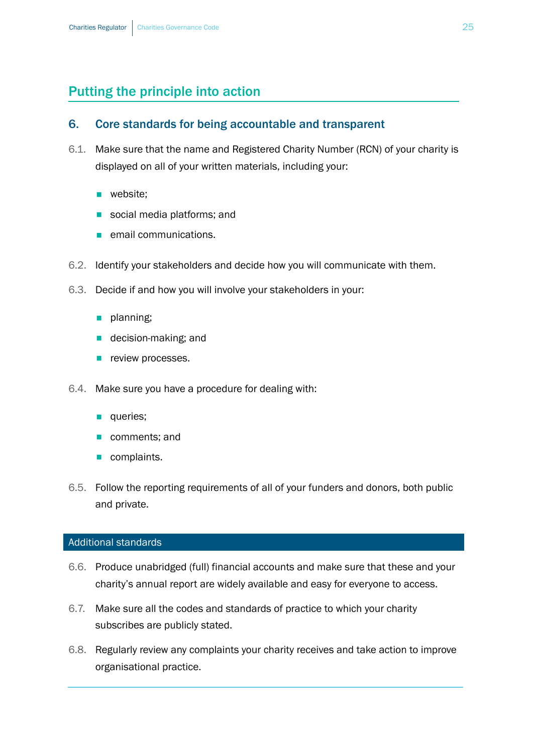# Putting the principle into action

#### 6. Core standards for being accountable and transparent

- 6.1. Make sure that the name and Registered Charity Number (RCN) of your charity is displayed on all of your written materials, including your:
	- website:
	- social media platforms; and
	- email communications.
- 6.2. Identify your stakeholders and decide how you will communicate with them.
- 6.3. Decide if and how you will involve your stakeholders in your:
	- **n** planning;
	- decision-making; and
	- **P** review processes.
- 6.4. Make sure you have a procedure for dealing with:
	- queries:
	- comments; and
	- **n** complaints.
- 6.5. Follow the reporting requirements of all of your funders and donors, both public and private.

#### Additional standards

- 6.6. Produce unabridged (full) financial accounts and make sure that these and your charity's annual report are widely available and easy for everyone to access.
- 6.7. Make sure all the codes and standards of practice to which your charity subscribes are publicly stated.
- 6.8. Regularly review any complaints your charity receives and take action to improve organisational practice.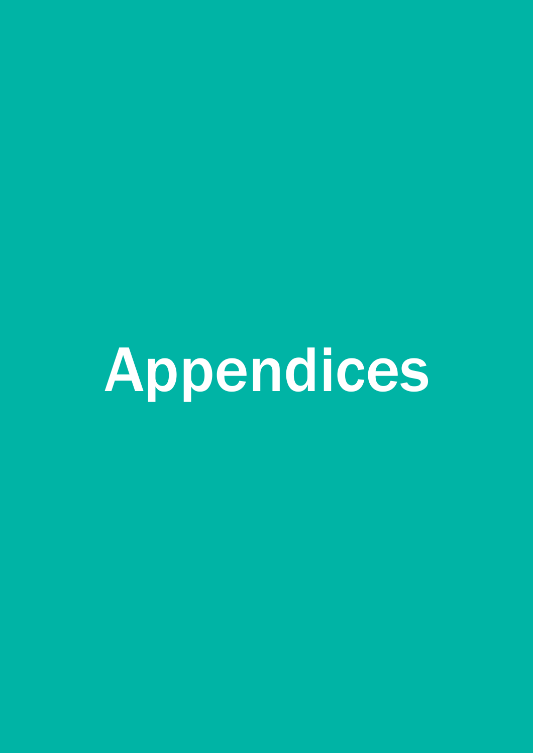<span id="page-26-0"></span>Appendices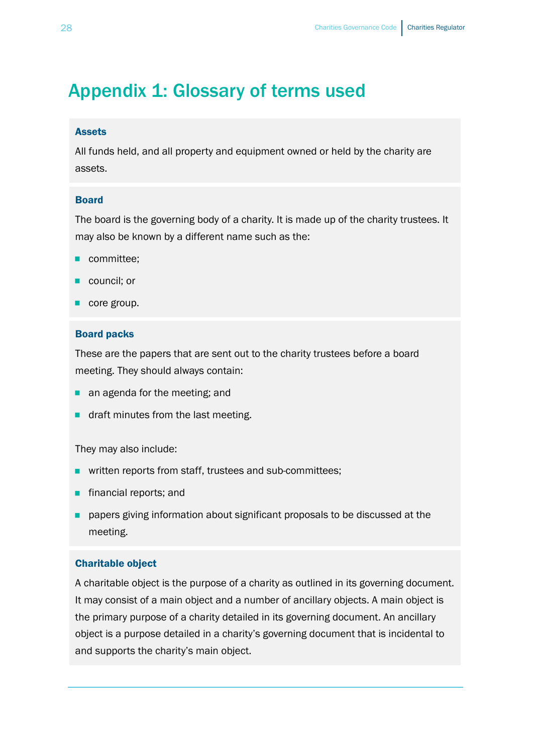# <span id="page-27-0"></span>Appendix 1: Glossary of terms used

#### Assets

All funds held, and all property and equipment owned or held by the charity are assets.

#### Board

The board is the governing body of a charity. It is made up of the charity trustees. It may also be known by a different name such as the:

- committee;
- council; or
- core group.

#### Board packs

These are the papers that are sent out to the charity trustees before a board meeting. They should always contain:

- an agenda for the meeting; and
- draft minutes from the last meeting.

They may also include:

- written reports from staff, trustees and sub-committees;
- financial reports; and
- papers giving information about significant proposals to be discussed at the meeting.

#### Charitable object

A charitable object is the purpose of a charity as outlined in its governing document. It may consist of a main object and a number of ancillary objects. A main object is the primary purpose of a charity detailed in its governing document. An ancillary object is a purpose detailed in a charity's governing document that is incidental to and supports the charity's main object.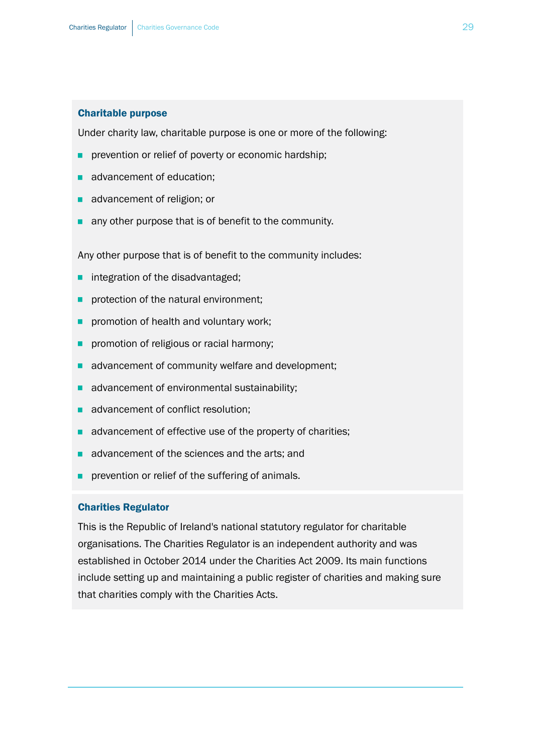#### Charitable purpose

Under charity law, charitable purpose is one or more of the following:

- prevention or relief of poverty or economic hardship;
- advancement of education:
- advancement of religion; or
- **a** any other purpose that is of benefit to the community.

Any other purpose that is of benefit to the community includes:

- integration of the disadvantaged;
- protection of the natural environment;
- **P** promotion of health and voluntary work;
- **P** promotion of religious or racial harmony;
- advancement of community welfare and development;
- advancement of environmental sustainability;
- advancement of conflict resolution;
- advancement of effective use of the property of charities;
- advancement of the sciences and the arts; and
- prevention or relief of the suffering of animals.

#### Charities Regulator

This is the Republic of Ireland's national statutory regulator for charitable organisations. The Charities Regulator is an independent authority and was established in October 2014 under the Charities Act 2009. Its main functions include setting up and maintaining a public register of charities and making sure that charities comply with the Charities Acts.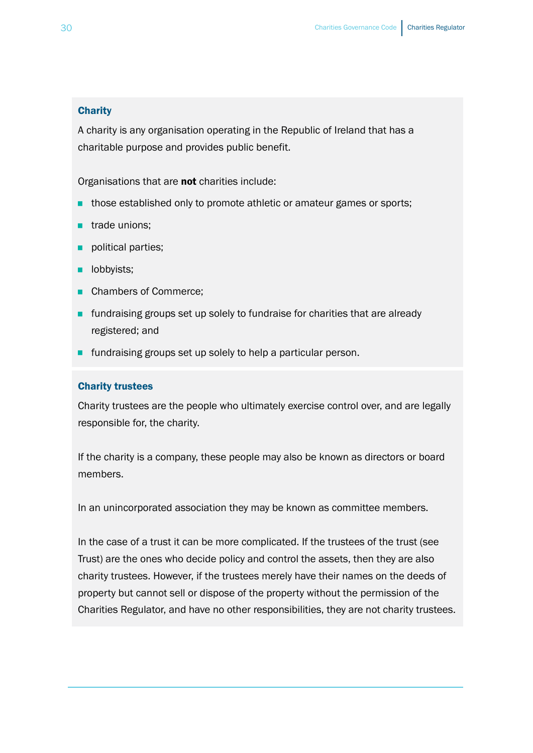#### **Charity**

A charity is any organisation operating in the Republic of Ireland that has a charitable purpose and provides public benefit.

Organisations that are not charities include:

- those established only to promote athletic or amateur games or sports;
- trade unions;
- political parties;
- **D** lobbyists;
- Chambers of Commerce;
- **■** fundraising groups set up solely to fundraise for charities that are already registered; and
- fundraising groups set up solely to help a particular person.

#### Charity trustees

Charity trustees are the people who ultimately exercise control over, and are legally responsible for, the charity.

If the charity is a company, these people may also be known as directors or board members.

In an unincorporated association they may be known as committee members.

In the case of a trust it can be more complicated. If the trustees of the trust (see Trust) are the ones who decide policy and control the assets, then they are also charity trustees. However, if the trustees merely have their names on the deeds of property but cannot sell or dispose of the property without the permission of the Charities Regulator, and have no other responsibilities, they are not charity trustees.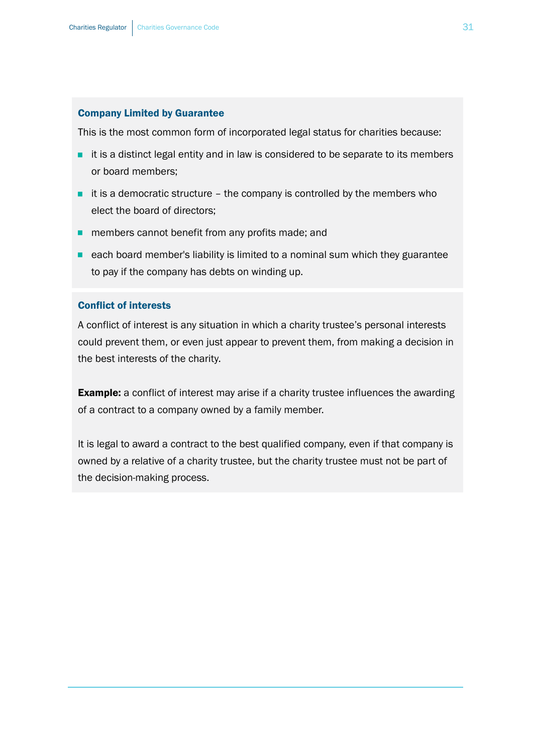#### Company Limited by Guarantee

This is the most common form of incorporated legal status for charities because:

- it is a distinct legal entity and in law is considered to be separate to its members or board members;
- $\blacksquare$  it is a democratic structure the company is controlled by the members who elect the board of directors;
- **n** members cannot benefit from any profits made; and
- each board member's liability is limited to a nominal sum which they guarantee to pay if the company has debts on winding up.

#### Conflict of interests

A conflict of interest is any situation in which a charity trustee's personal interests could prevent them, or even just appear to prevent them, from making a decision in the best interests of the charity.

**Example:** a conflict of interest may arise if a charity trustee influences the awarding of a contract to a company owned by a family member.

It is legal to award a contract to the best qualified company, even if that company is owned by a relative of a charity trustee, but the charity trustee must not be part of the decision-making process.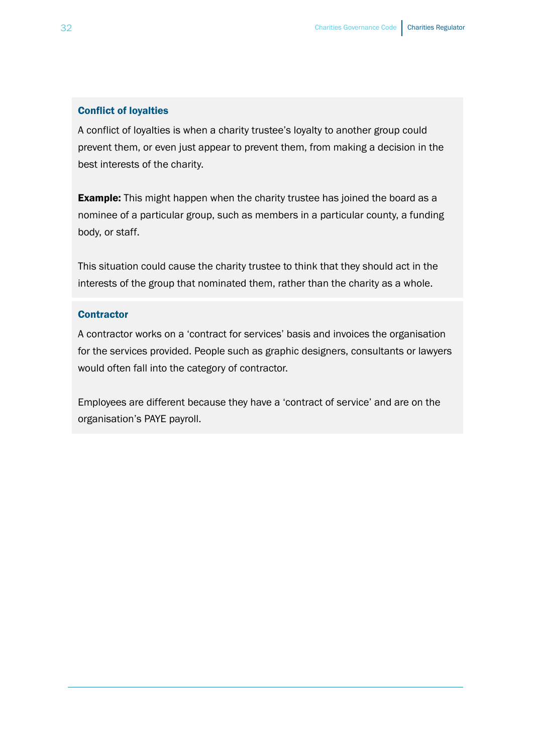#### Conflict of loyalties

A conflict of loyalties is when a charity trustee's loyalty to another group could prevent them, or even just appear to prevent them, from making a decision in the best interests of the charity.

**Example:** This might happen when the charity trustee has joined the board as a nominee of a particular group, such as members in a particular county, a funding body, or staff.

This situation could cause the charity trustee to think that they should act in the interests of the group that nominated them, rather than the charity as a whole.

#### **Contractor**

A contractor works on a 'contract for services' basis and invoices the organisation for the services provided. People such as graphic designers, consultants or lawyers would often fall into the category of contractor.

Employees are different because they have a 'contract of service' and are on the organisation's PAYE payroll.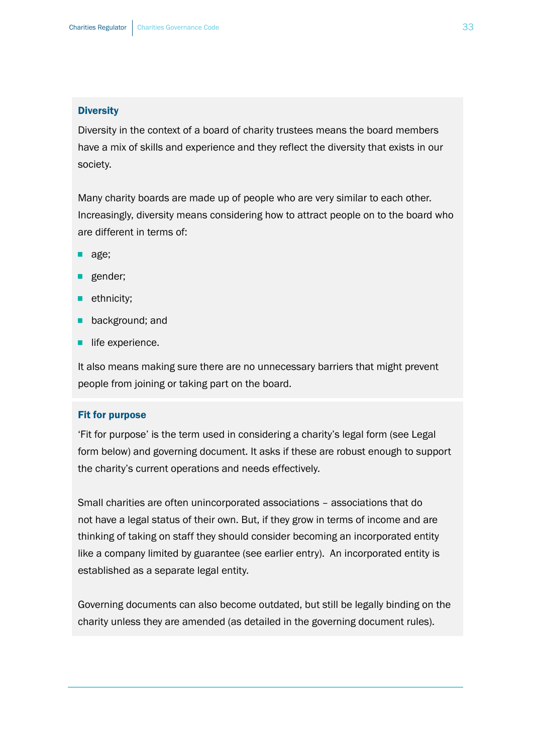#### **Diversity**

Diversity in the context of a board of charity trustees means the board members have a mix of skills and experience and they reflect the diversity that exists in our society.

Many charity boards are made up of people who are very similar to each other. Increasingly, diversity means considering how to attract people on to the board who are different in terms of:

- age;
- **B** gender;
- **n** ethnicity;
- **B** background; and
- **B** life experience.

It also means making sure there are no unnecessary barriers that might prevent people from joining or taking part on the board.

#### Fit for purpose

'Fit for purpose' is the term used in considering a charity's legal form (see Legal form below) and governing document. It asks if these are robust enough to support the charity's current operations and needs effectively.

Small charities are often unincorporated associations – associations that do not have a legal status of their own. But, if they grow in terms of income and are thinking of taking on staff they should consider becoming an incorporated entity like a company limited by guarantee (see earlier entry). An incorporated entity is established as a separate legal entity.

Governing documents can also become outdated, but still be legally binding on the charity unless they are amended (as detailed in the governing document rules).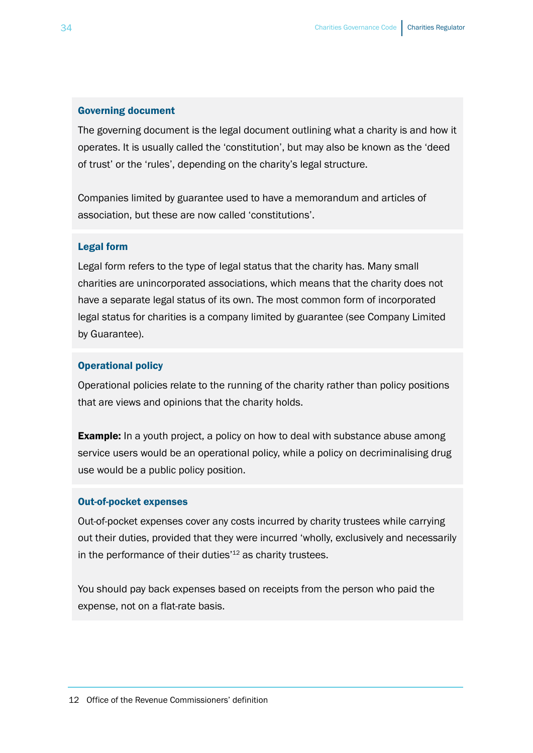#### Governing document

The governing document is the legal document outlining what a charity is and how it operates. It is usually called the 'constitution', but may also be known as the 'deed of trust' or the 'rules', depending on the charity's legal structure.

Companies limited by guarantee used to have a memorandum and articles of association, but these are now called 'constitutions'.

#### Legal form

Legal form refers to the type of legal status that the charity has. Many small charities are unincorporated associations, which means that the charity does not have a separate legal status of its own. The most common form of incorporated legal status for charities is a company limited by guarantee (see Company Limited by Guarantee).

#### Operational policy

Operational policies relate to the running of the charity rather than policy positions that are views and opinions that the charity holds.

**Example:** In a youth project, a policy on how to deal with substance abuse among service users would be an operational policy, while a policy on decriminalising drug use would be a public policy position.

#### Out-of-pocket expenses

Out-of-pocket expenses cover any costs incurred by charity trustees while carrying out their duties, provided that they were incurred 'wholly, exclusively and necessarily in the performance of their duties<sup>'12</sup> as charity trustees.

You should pay back expenses based on receipts from the person who paid the expense, not on a flat-rate basis.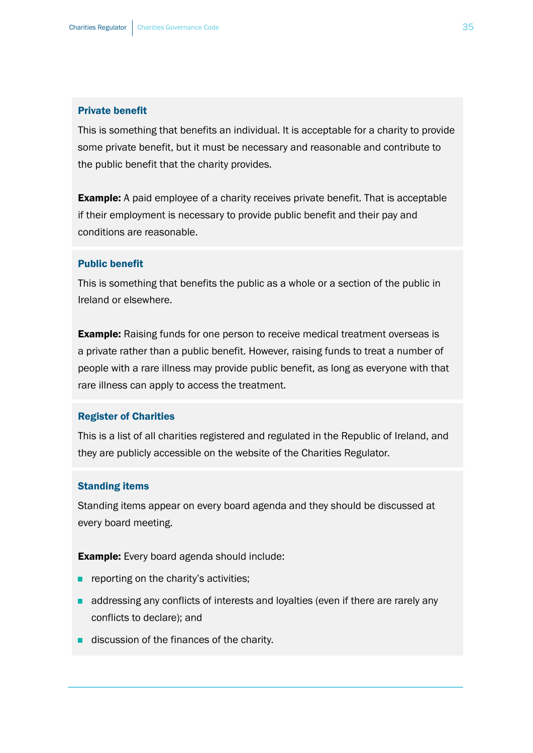#### Private benefit

This is something that benefits an individual. It is acceptable for a charity to provide some private benefit, but it must be necessary and reasonable and contribute to the public benefit that the charity provides.

**Example:** A paid employee of a charity receives private benefit. That is acceptable if their employment is necessary to provide public benefit and their pay and conditions are reasonable.

#### Public benefit

This is something that benefits the public as a whole or a section of the public in Ireland or elsewhere.

**Example:** Raising funds for one person to receive medical treatment overseas is a private rather than a public benefit. However, raising funds to treat a number of people with a rare illness may provide public benefit, as long as everyone with that rare illness can apply to access the treatment.

#### Register of Charities

This is a list of all charities registered and regulated in the Republic of Ireland, and they are publicly accessible on the website of the Charities Regulator.

#### Standing items

Standing items appear on every board agenda and they should be discussed at every board meeting.

**Example:** Every board agenda should include:

- reporting on the charity's activities;
- addressing any conflicts of interests and loyalties (even if there are rarely any conflicts to declare); and
- discussion of the finances of the charity.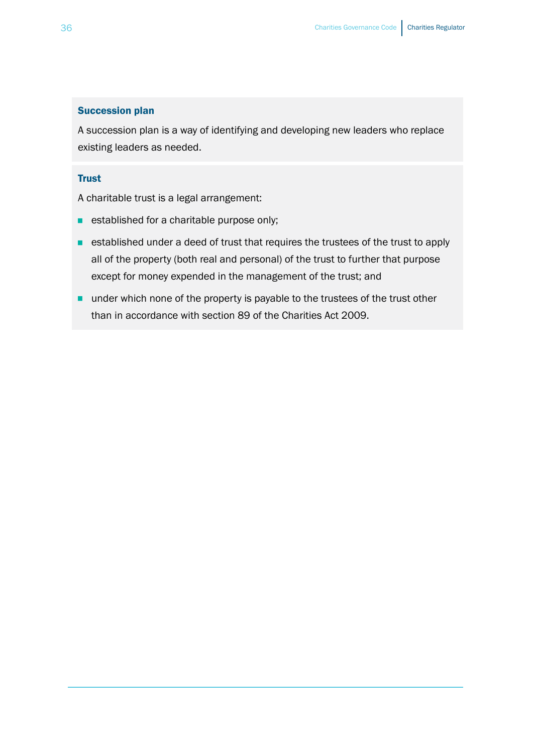#### Succession plan

A succession plan is a way of identifying and developing new leaders who replace existing leaders as needed.

#### **Trust**

A charitable trust is a legal arrangement:

- established for a charitable purpose only;
- established under a deed of trust that requires the trustees of the trust to apply all of the property (both real and personal) of the trust to further that purpose except for money expended in the management of the trust; and
- under which none of the property is payable to the trustees of the trust other than in accordance with section 89 of the Charities Act 2009.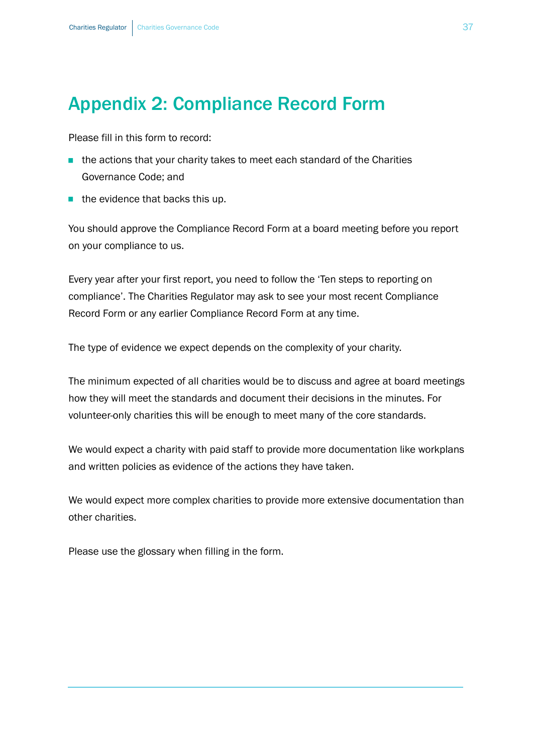# <span id="page-36-0"></span>Appendix 2: Compliance Record Form

Please fill in this form to record:

- the actions that your charity takes to meet each standard of the Charities Governance Code; and
- $\blacksquare$  the evidence that backs this up.

You should approve the Compliance Record Form at a board meeting before you report on your compliance to us.

Every year after your first report, you need to follow the 'Ten steps to reporting on compliance'. The Charities Regulator may ask to see your most recent Compliance Record Form or any earlier Compliance Record Form at any time.

The type of evidence we expect depends on the complexity of your charity.

The minimum expected of all charities would be to discuss and agree at board meetings how they will meet the standards and document their decisions in the minutes. For volunteer-only charities this will be enough to meet many of the core standards.

We would expect a charity with paid staff to provide more documentation like workplans and written policies as evidence of the actions they have taken.

We would expect more complex charities to provide more extensive documentation than other charities.

Please use the [glossary](#page-27-0) when filling in the form.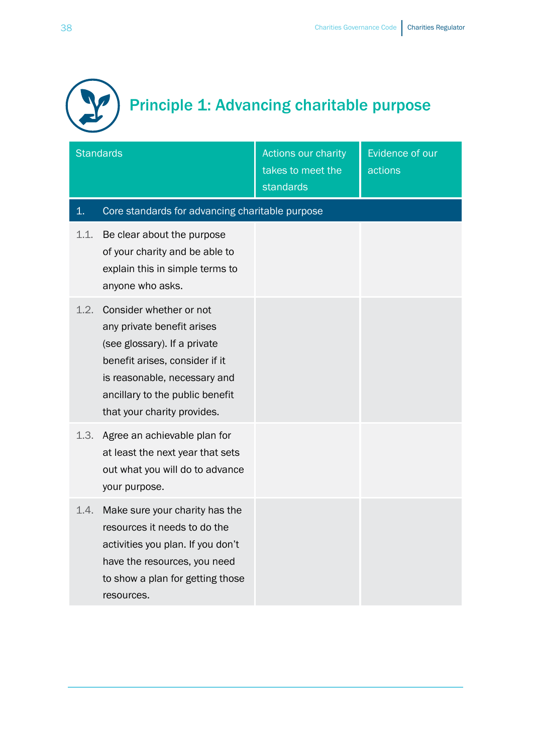

| <b>Standards</b> |                                                                                                                                                                                                                           | <b>Actions our charity</b><br>takes to meet the<br>standards | Evidence of our<br>actions |
|------------------|---------------------------------------------------------------------------------------------------------------------------------------------------------------------------------------------------------------------------|--------------------------------------------------------------|----------------------------|
| 1.               | Core standards for advancing charitable purpose                                                                                                                                                                           |                                                              |                            |
| 1.1.             | Be clear about the purpose<br>of your charity and be able to<br>explain this in simple terms to<br>anyone who asks.                                                                                                       |                                                              |                            |
| 1.2.             | Consider whether or not<br>any private benefit arises<br>(see glossary). If a private<br>benefit arises, consider if it<br>is reasonable, necessary and<br>ancillary to the public benefit<br>that your charity provides. |                                                              |                            |
| 1.3.             | Agree an achievable plan for<br>at least the next year that sets<br>out what you will do to advance<br>your purpose.                                                                                                      |                                                              |                            |
| 1.4.             | Make sure your charity has the<br>resources it needs to do the<br>activities you plan. If you don't<br>have the resources, you need<br>to show a plan for getting those<br>resources.                                     |                                                              |                            |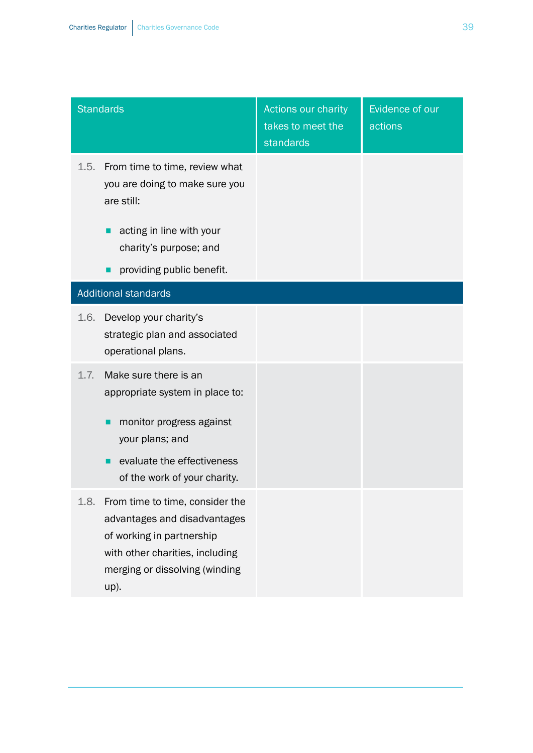|      | <b>Standards</b>                                                                                                                                                          | Actions our charity<br>takes to meet the<br>standards | Evidence of our<br>actions |
|------|---------------------------------------------------------------------------------------------------------------------------------------------------------------------------|-------------------------------------------------------|----------------------------|
| 1.5. | From time to time, review what<br>you are doing to make sure you<br>are still:                                                                                            |                                                       |                            |
|      | acting in line with your<br>charity's purpose; and                                                                                                                        |                                                       |                            |
|      | providing public benefit.                                                                                                                                                 |                                                       |                            |
|      | <b>Additional standards</b>                                                                                                                                               |                                                       |                            |
| 1.6. | Develop your charity's<br>strategic plan and associated<br>operational plans.                                                                                             |                                                       |                            |
| 1.7. | Make sure there is an<br>appropriate system in place to:<br>monitor progress against<br>your plans; and<br>evaluate the effectiveness<br>of the work of your charity.     |                                                       |                            |
| 1.8. | From time to time, consider the<br>advantages and disadvantages<br>of working in partnership<br>with other charities, including<br>merging or dissolving (winding<br>up). |                                                       |                            |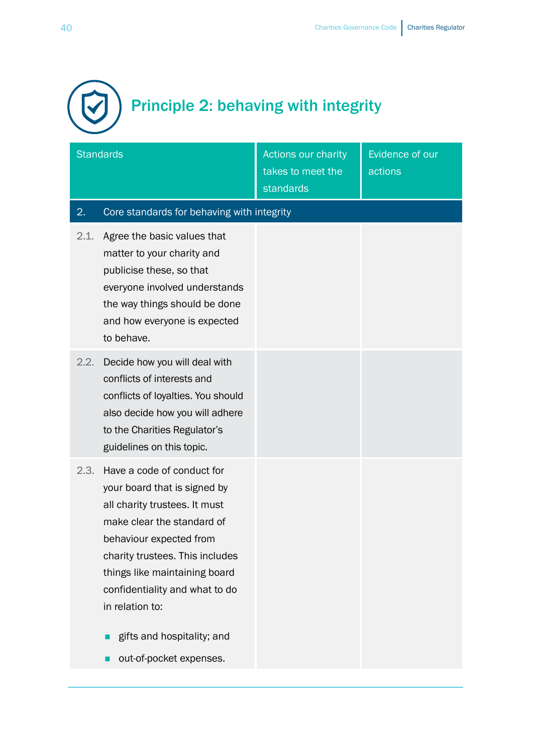

|      | <b>Standards</b>                                                                                                                                                                                                                                                                                                                       | <b>Actions our charity</b><br>takes to meet the<br>standards | Evidence of our<br>actions |
|------|----------------------------------------------------------------------------------------------------------------------------------------------------------------------------------------------------------------------------------------------------------------------------------------------------------------------------------------|--------------------------------------------------------------|----------------------------|
| 2.   | Core standards for behaving with integrity                                                                                                                                                                                                                                                                                             |                                                              |                            |
| 2.1. | Agree the basic values that<br>matter to your charity and<br>publicise these, so that<br>everyone involved understands<br>the way things should be done<br>and how everyone is expected<br>to behave.                                                                                                                                  |                                                              |                            |
| 2.2. | Decide how you will deal with<br>conflicts of interests and<br>conflicts of loyalties. You should<br>also decide how you will adhere<br>to the Charities Regulator's<br>guidelines on this topic.                                                                                                                                      |                                                              |                            |
| 2.3. | Have a code of conduct for<br>your board that is signed by<br>all charity trustees. It must<br>make clear the standard of<br>behaviour expected from<br>charity trustees. This includes<br>things like maintaining board<br>confidentiality and what to do<br>in relation to:<br>gifts and hospitality; and<br>out-of-pocket expenses. |                                                              |                            |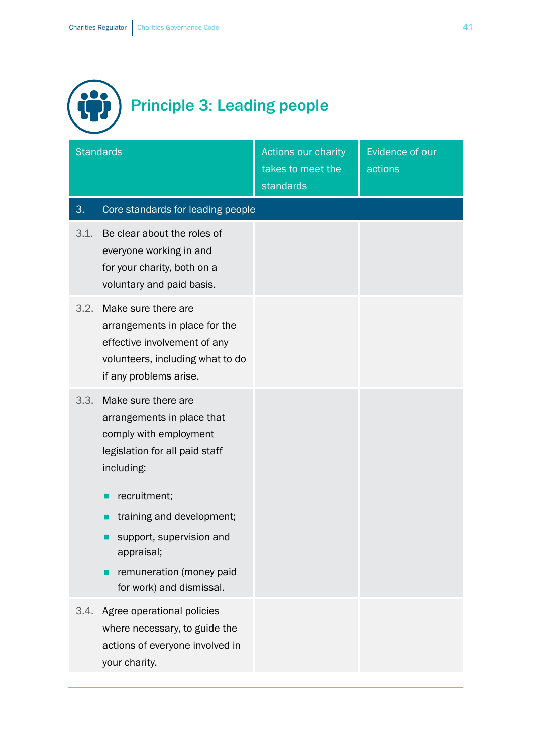

|      | <b>Standards</b>                                                                                                                                   | Actions our charity<br>takes to meet the<br>standards | Evidence of our<br>actions |
|------|----------------------------------------------------------------------------------------------------------------------------------------------------|-------------------------------------------------------|----------------------------|
| 3.   | Core standards for leading people                                                                                                                  |                                                       |                            |
| 3.1. | Be clear about the roles of<br>everyone working in and<br>for your charity, both on a<br>voluntary and paid basis.                                 |                                                       |                            |
| 3.2. | Make sure there are<br>arrangements in place for the<br>effective involvement of any<br>volunteers, including what to do<br>if any problems arise. |                                                       |                            |
| 3.3. | Make sure there are<br>arrangements in place that<br>comply with employment<br>legislation for all paid staff<br>including:<br>recruitment;        |                                                       |                            |
|      | training and development;<br>support, supervision and<br>appraisal;<br>remuneration (money paid<br>for work) and dismissal.                        |                                                       |                            |
| 3.4. | Agree operational policies<br>where necessary, to guide the<br>actions of everyone involved in<br>your charity.                                    |                                                       |                            |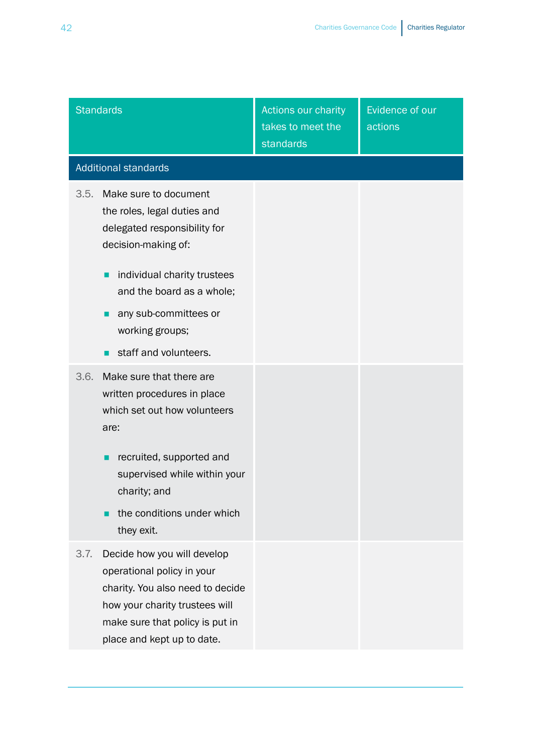|      | <b>Standards</b>                                                                                                                                                                                           | Actions our charity<br>takes to meet the<br>standards | Evidence of our<br>actions |
|------|------------------------------------------------------------------------------------------------------------------------------------------------------------------------------------------------------------|-------------------------------------------------------|----------------------------|
|      | <b>Additional standards</b>                                                                                                                                                                                |                                                       |                            |
| 3.5. | Make sure to document<br>the roles, legal duties and<br>delegated responsibility for<br>decision-making of:<br>individual charity trustees<br>п<br>and the board as a whole;<br>any sub-committees or<br>п |                                                       |                            |
|      | working groups;<br>staff and volunteers.<br>п                                                                                                                                                              |                                                       |                            |
| 3.6. | Make sure that there are<br>written procedures in place<br>which set out how volunteers<br>are:                                                                                                            |                                                       |                            |
|      | recruited, supported and<br>supervised while within your<br>charity; and<br>the conditions under which<br>П<br>they exit.                                                                                  |                                                       |                            |
| 3.7. | Decide how you will develop<br>operational policy in your<br>charity. You also need to decide<br>how your charity trustees will<br>make sure that policy is put in<br>place and kept up to date.           |                                                       |                            |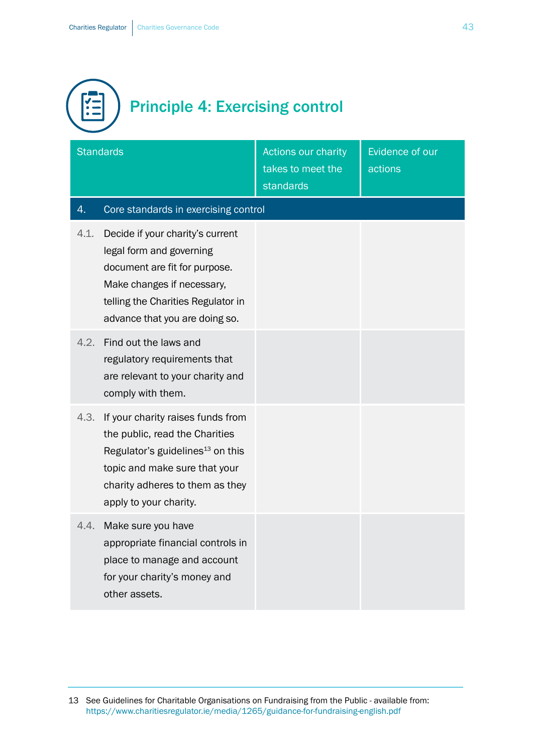

| <b>Standards</b> |                                                                                                                                                                                                                   | <b>Actions our charity</b><br>takes to meet the<br>standards | Evidence of our<br>actions |
|------------------|-------------------------------------------------------------------------------------------------------------------------------------------------------------------------------------------------------------------|--------------------------------------------------------------|----------------------------|
| 4.               | Core standards in exercising control                                                                                                                                                                              |                                                              |                            |
| 4.1.             | Decide if your charity's current<br>legal form and governing<br>document are fit for purpose.<br>Make changes if necessary,<br>telling the Charities Regulator in<br>advance that you are doing so.               |                                                              |                            |
| 4.2.             | Find out the laws and<br>regulatory requirements that<br>are relevant to your charity and<br>comply with them.                                                                                                    |                                                              |                            |
| 4.3.             | If your charity raises funds from<br>the public, read the Charities<br>Regulator's guidelines <sup>13</sup> on this<br>topic and make sure that your<br>charity adheres to them as they<br>apply to your charity. |                                                              |                            |
| 4.4.             | Make sure you have<br>appropriate financial controls in<br>place to manage and account<br>for your charity's money and<br>other assets.                                                                           |                                                              |                            |

<sup>13</sup> See Guidelines for Charitable Organisations on Fundraising from the Public - available from: <https://www.charitiesregulator.ie/media/1265/guidance-for-fundraising-english.pdf>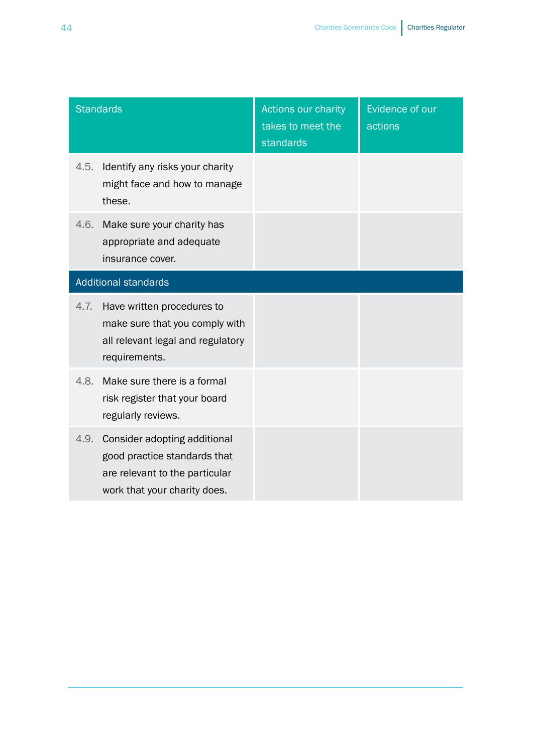| <b>Standards</b>            |                                                                                                                                | Actions our charity<br>takes to meet the<br>standards | Evidence of our<br>actions |
|-----------------------------|--------------------------------------------------------------------------------------------------------------------------------|-------------------------------------------------------|----------------------------|
| 4.5.                        | Identify any risks your charity<br>might face and how to manage<br>these.                                                      |                                                       |                            |
| 4.6.                        | Make sure your charity has<br>appropriate and adequate<br>insurance cover.                                                     |                                                       |                            |
| <b>Additional standards</b> |                                                                                                                                |                                                       |                            |
| 4.7.                        | Have written procedures to<br>make sure that you comply with<br>all relevant legal and regulatory<br>requirements.             |                                                       |                            |
| 4.8.                        | Make sure there is a formal<br>risk register that your board<br>regularly reviews.                                             |                                                       |                            |
| 4.9.                        | Consider adopting additional<br>good practice standards that<br>are relevant to the particular<br>work that your charity does. |                                                       |                            |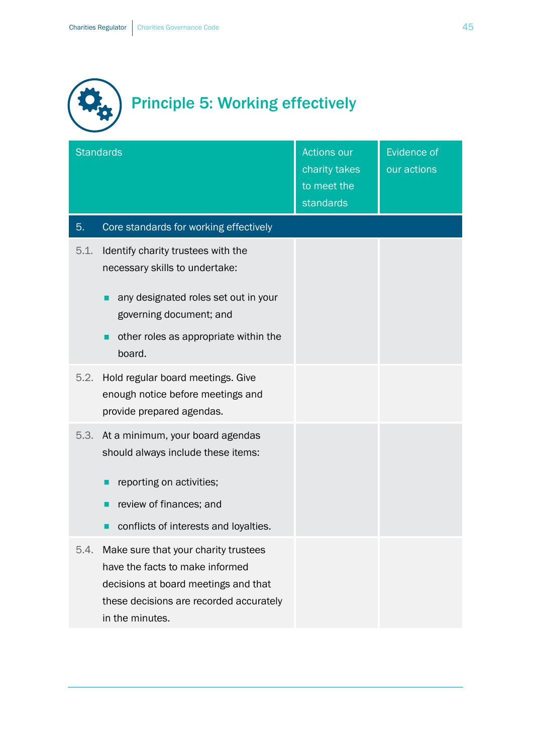

|      | <b>Standards</b>                                                                                                                                                                           | <b>Actions our</b><br>charity takes<br>to meet the<br>standards | <b>Evidence of</b><br>our actions |
|------|--------------------------------------------------------------------------------------------------------------------------------------------------------------------------------------------|-----------------------------------------------------------------|-----------------------------------|
| 5.   | Core standards for working effectively                                                                                                                                                     |                                                                 |                                   |
| 5.1. | Identify charity trustees with the<br>necessary skills to undertake:<br>any designated roles set out in your<br>governing document; and<br>other roles as appropriate within the<br>board. |                                                                 |                                   |
| 5.2. | Hold regular board meetings. Give<br>enough notice before meetings and<br>provide prepared agendas.                                                                                        |                                                                 |                                   |
| 5.3. | At a minimum, your board agendas<br>should always include these items:<br>reporting on activities;<br>review of finances; and<br>conflicts of interests and loyalties.                     |                                                                 |                                   |
| 5.4. | Make sure that your charity trustees<br>have the facts to make informed<br>decisions at board meetings and that<br>these decisions are recorded accurately<br>in the minutes.              |                                                                 |                                   |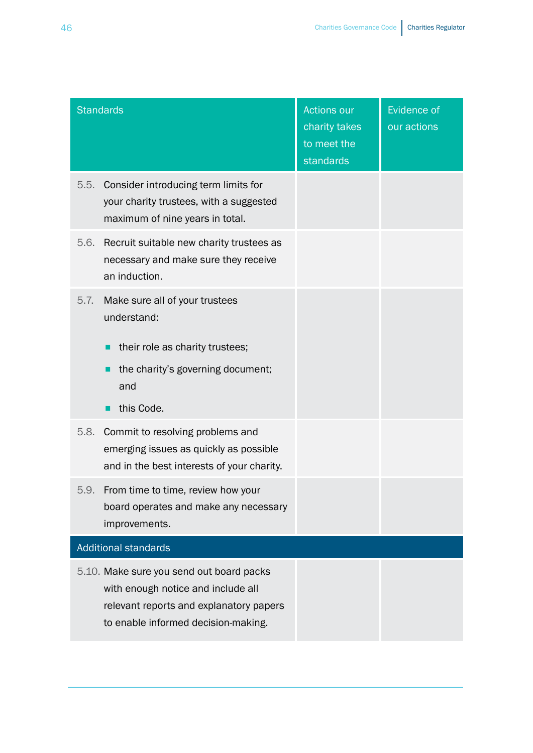|      | Standards                                                                                                                                                        | <b>Actions our</b><br>charity takes<br>to meet the<br>standards | <b>Evidence of</b><br>our actions |
|------|------------------------------------------------------------------------------------------------------------------------------------------------------------------|-----------------------------------------------------------------|-----------------------------------|
| 5.5. | Consider introducing term limits for<br>your charity trustees, with a suggested<br>maximum of nine years in total.                                               |                                                                 |                                   |
| 5.6. | Recruit suitable new charity trustees as<br>necessary and make sure they receive<br>an induction.                                                                |                                                                 |                                   |
| 5.7. | Make sure all of your trustees<br>understand:<br>their role as charity trustees;<br>the charity's governing document;<br>and<br>this Code.                       |                                                                 |                                   |
| 5.8. | Commit to resolving problems and<br>emerging issues as quickly as possible<br>and in the best interests of your charity.                                         |                                                                 |                                   |
| 5.9. | From time to time, review how your<br>board operates and make any necessary<br>improvements.                                                                     |                                                                 |                                   |
|      | <b>Additional standards</b>                                                                                                                                      |                                                                 |                                   |
|      | 5.10. Make sure you send out board packs<br>with enough notice and include all<br>relevant reports and explanatory papers<br>to enable informed decision-making. |                                                                 |                                   |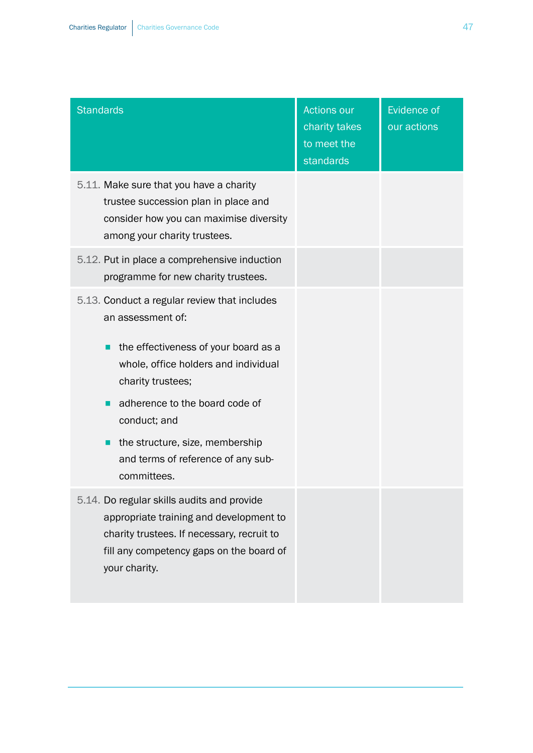| <b>Standards</b>                                                                                                                                                                                                                                                                                                                  | <b>Actions our</b><br>charity takes<br>to meet the<br>standards | <b>Evidence of</b><br>our actions |
|-----------------------------------------------------------------------------------------------------------------------------------------------------------------------------------------------------------------------------------------------------------------------------------------------------------------------------------|-----------------------------------------------------------------|-----------------------------------|
| 5.11. Make sure that you have a charity<br>trustee succession plan in place and<br>consider how you can maximise diversity<br>among your charity trustees.                                                                                                                                                                        |                                                                 |                                   |
| 5.12. Put in place a comprehensive induction<br>programme for new charity trustees.                                                                                                                                                                                                                                               |                                                                 |                                   |
| 5.13. Conduct a regular review that includes<br>an assessment of:<br>the effectiveness of your board as a<br>П<br>whole, office holders and individual<br>charity trustees;<br>adherence to the board code of<br>conduct; and<br>the structure, size, membership<br><b>I</b><br>and terms of reference of any sub-<br>committees. |                                                                 |                                   |
| 5.14. Do regular skills audits and provide<br>appropriate training and development to<br>charity trustees. If necessary, recruit to<br>fill any competency gaps on the board of<br>your charity.                                                                                                                                  |                                                                 |                                   |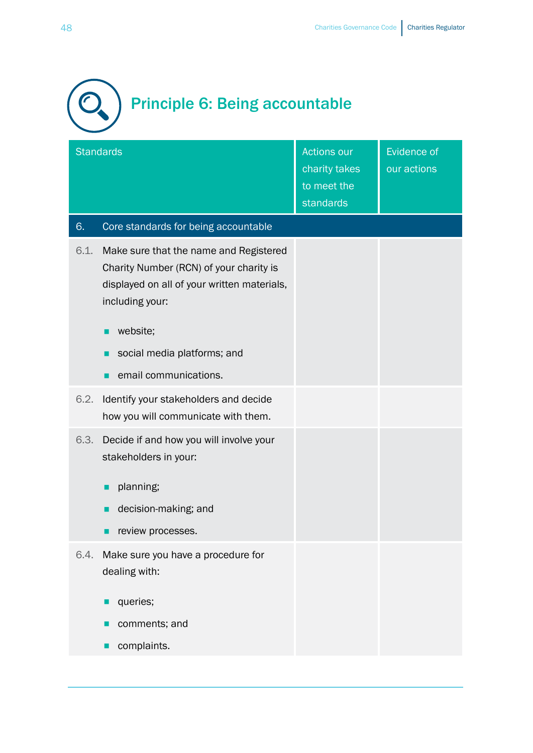

|      | <b>Standards</b>                                                                                                                                    | <b>Actions our</b><br>charity takes<br>to meet the<br>standards | <b>Evidence of</b><br>our actions |
|------|-----------------------------------------------------------------------------------------------------------------------------------------------------|-----------------------------------------------------------------|-----------------------------------|
| 6.   | Core standards for being accountable                                                                                                                |                                                                 |                                   |
| 6.1. | Make sure that the name and Registered<br>Charity Number (RCN) of your charity is<br>displayed on all of your written materials,<br>including your: |                                                                 |                                   |
|      | website;<br>г                                                                                                                                       |                                                                 |                                   |
|      | social media platforms; and                                                                                                                         |                                                                 |                                   |
|      | email communications.                                                                                                                               |                                                                 |                                   |
| 6.2. | Identify your stakeholders and decide<br>how you will communicate with them.                                                                        |                                                                 |                                   |
| 6.3. | Decide if and how you will involve your<br>stakeholders in your:                                                                                    |                                                                 |                                   |
|      | planning;<br>П                                                                                                                                      |                                                                 |                                   |
|      | decision-making; and                                                                                                                                |                                                                 |                                   |
|      | review processes.                                                                                                                                   |                                                                 |                                   |
| 6.4. | Make sure you have a procedure for<br>dealing with:                                                                                                 |                                                                 |                                   |
|      | queries;                                                                                                                                            |                                                                 |                                   |
|      | comments; and                                                                                                                                       |                                                                 |                                   |
|      | complaints.                                                                                                                                         |                                                                 |                                   |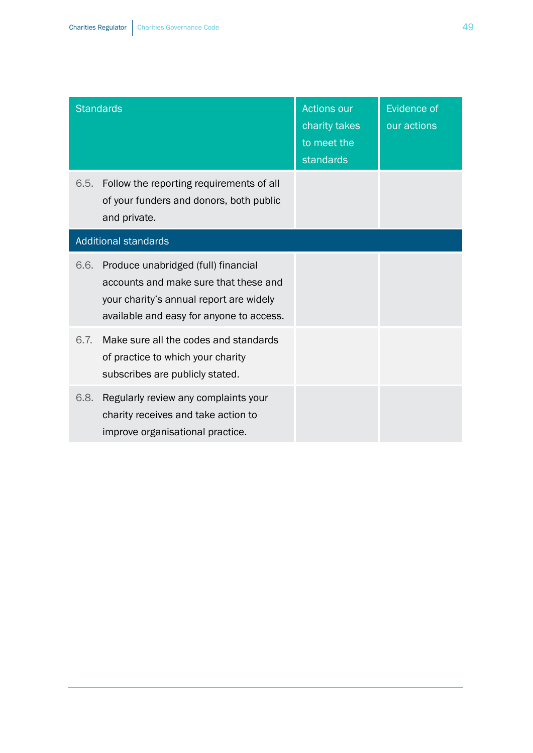|                             | <b>Standards</b>                                                                                                                                                    | <b>Actions our</b><br>charity takes<br>to meet the<br>standards | <b>Evidence of</b><br>our actions |
|-----------------------------|---------------------------------------------------------------------------------------------------------------------------------------------------------------------|-----------------------------------------------------------------|-----------------------------------|
| 6.5.                        | Follow the reporting requirements of all<br>of your funders and donors, both public<br>and private.                                                                 |                                                                 |                                   |
| <b>Additional standards</b> |                                                                                                                                                                     |                                                                 |                                   |
| 6.6.                        | Produce unabridged (full) financial<br>accounts and make sure that these and<br>your charity's annual report are widely<br>available and easy for anyone to access. |                                                                 |                                   |
| 6.7.                        | Make sure all the codes and standards<br>of practice to which your charity<br>subscribes are publicly stated.                                                       |                                                                 |                                   |
| 6.8.                        | Regularly review any complaints your<br>charity receives and take action to<br>improve organisational practice.                                                     |                                                                 |                                   |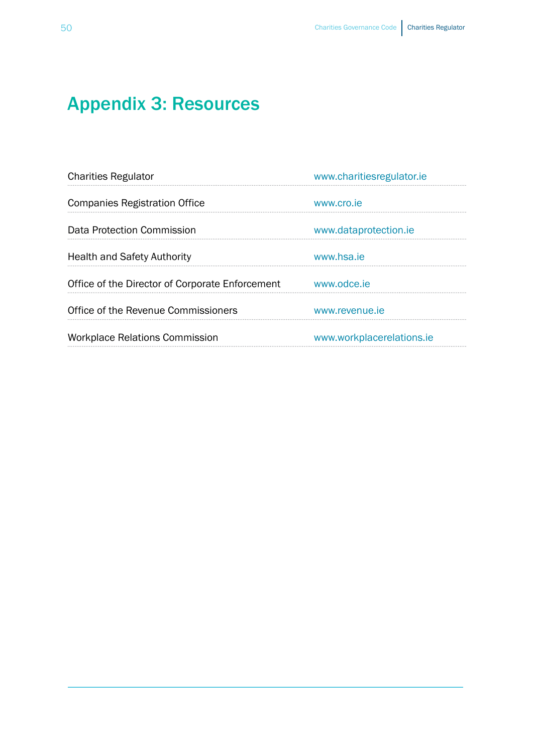# <span id="page-49-0"></span>Appendix 3: Resources

| <b>Charities Regulator</b>                      | www.charitiesregulator.ie |
|-------------------------------------------------|---------------------------|
| <b>Companies Registration Office</b>            | www.cro.je                |
| Data Protection Commission                      | www.dataprotection.ie     |
| <b>Health and Safety Authority</b>              | www.hsa.je                |
| Office of the Director of Corporate Enforcement | www.odce.je               |
| Office of the Revenue Commissioners             | www.revenue.je            |
| <b>Workplace Relations Commission</b>           | www.workplacerelations.ie |